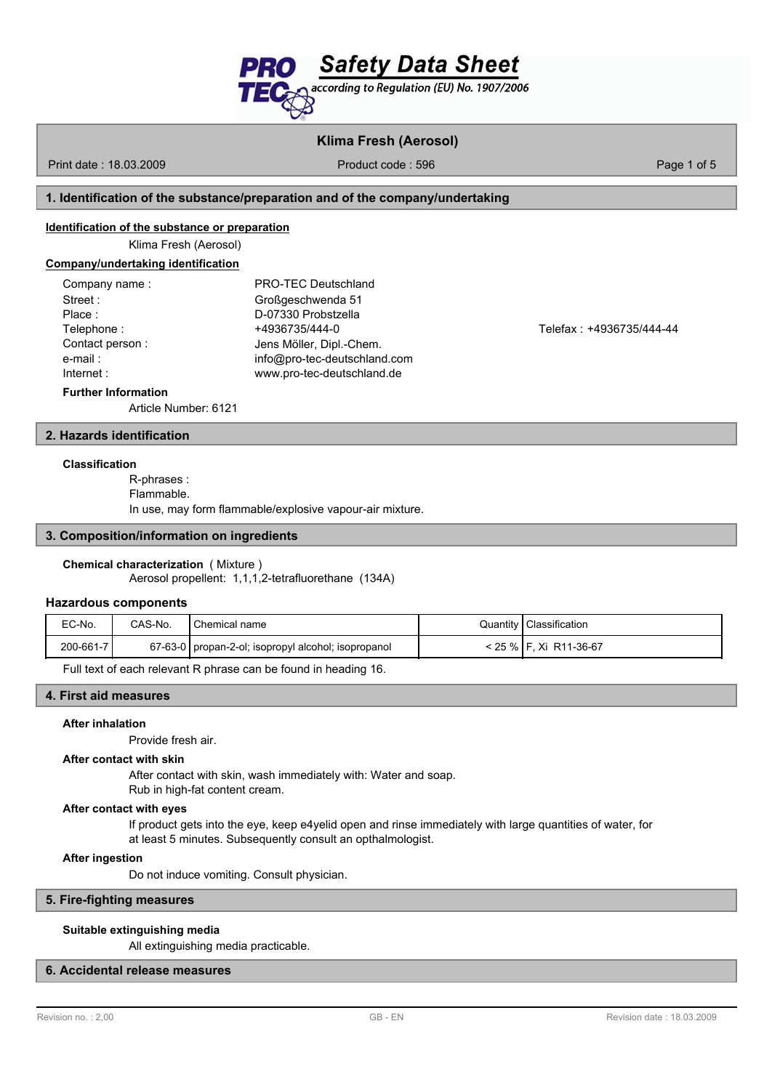

# **Klima Fresh (Aerosol)**

Print date : 18.03.2009 **Product code : 596** Page 1 of 5

## **1. Identification of the substance/preparation and of the company/undertaking**

## **Identification of the substance or preparation**

Klima Fresh (Aerosol)

#### **Company/undertaking identification**

| Company name:   | PRO-TEC Deutschland          |
|-----------------|------------------------------|
| Street:         | Großgeschwenda 51            |
| Place:          | D-07330 Probstzella          |
| Telephone:      | +4936735/444-0               |
| Contact person: | Jens Möller, Dipl.-Chem.     |
| e-mail:         | info@pro-tec-deutschland.com |
| Internet :      | www.pro-tec-deutschland.de   |
|                 |                              |

Telefax : +4936735/444-44

#### **Further Information**

Article Number: 6121

## **2. Hazards identification**

#### **Classification**

R-phrases : Flammable. In use, may form flammable/explosive vapour-air mixture.

#### **3. Composition/information on ingredients**

#### **Chemical characterization** ( Mixture )

Aerosol propellent: 1,1,1,2-tetrafluorethane (134A)

#### **Hazardous components**

| EC-No.    | CAS-No. | I Chemical name                                       | Quantity   Classification |
|-----------|---------|-------------------------------------------------------|---------------------------|
| 200-661-7 |         | 67-63-0   propan-2-ol; isopropyl alcohol; isopropanol | < 25 %   F. Xi R11-36-67  |

Full text of each relevant R phrase can be found in heading 16.

## **4. First aid measures**

#### **After inhalation**

Provide fresh air.

#### **After contact with skin**

After contact with skin, wash immediately with: Water and soap. Rub in high-fat content cream.

#### **After contact with eyes**

If product gets into the eye, keep e4yelid open and rinse immediately with large quantities of water, for at least 5 minutes. Subsequently consult an opthalmologist.

#### **After ingestion**

Do not induce vomiting. Consult physician.

## **5. Fire-fighting measures**

#### **Suitable extinguishing media**

All extinguishing media practicable.

# **6. Accidental release measures**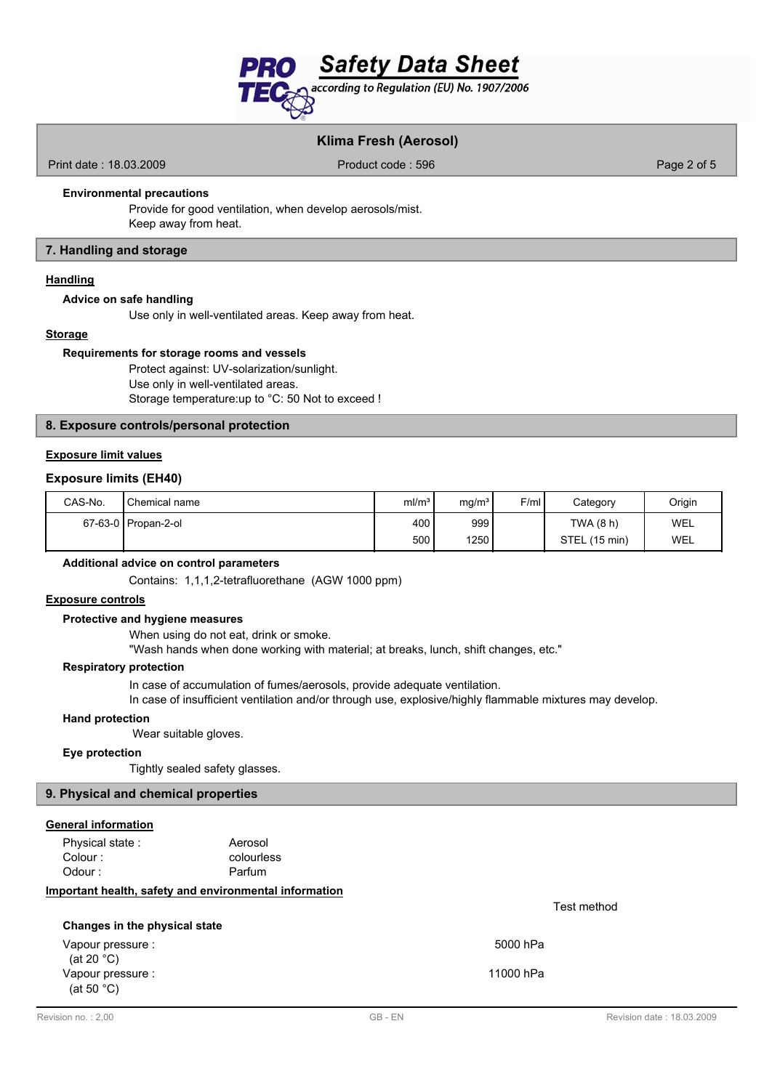

## **Klima Fresh (Aerosol)**

Print date : 18.03.2009 **Product code : 596** Product code : 596 Page 2 of 5

#### **Environmental precautions**

Provide for good ventilation, when develop aerosols/mist. Keep away from heat.

## **7. Handling and storage**

## **Handling**

#### **Advice on safe handling**

Use only in well-ventilated areas. Keep away from heat.

## **Storage**

#### **Requirements for storage rooms and vessels**

Protect against: UV-solarization/sunlight. Use only in well-ventilated areas. Storage temperature:up to °C: 50 Not to exceed !

#### **8. Exposure controls/personal protection**

## **Exposure limit values**

#### **Exposure limits (EH40)**

| CAS-No. | Chemical name         | ml/m <sup>3</sup> | mq/m <sup>3</sup> | F/ml | Category      | Origin |
|---------|-----------------------|-------------------|-------------------|------|---------------|--------|
|         | 67-63-0   Propan-2-ol | 400 l             | 999               |      | TWA (8 h)     | WEL    |
|         |                       | 500 <sub>1</sub>  | 1250 <sub>1</sub> |      | STEL (15 min) | WEL    |

#### **Additional advice on control parameters**

Contains: 1,1,1,2-tetrafluorethane (AGW 1000 ppm)

#### **Exposure controls**

#### **Protective and hygiene measures**

When using do not eat, drink or smoke.

"Wash hands when done working with material; at breaks, lunch, shift changes, etc."

## **Respiratory protection**

In case of accumulation of fumes/aerosols, provide adequate ventilation.

In case of insufficient ventilation and/or through use, explosive/highly flammable mixtures may develop.

#### **Hand protection**

Wear suitable gloves.

#### **Eye protection**

Tightly sealed safety glasses.

## **9. Physical and chemical properties**

## **General information**

Physical state : Aerosol Colour : Odour : Parfum

colourless

## **Important health, safety and environmental information**

#### **Changes in the physical state**

Vapour pressure : 5000 hPa (at 20 °C) Vapour pressure : 11000 hPa (at 50 °C)

Test method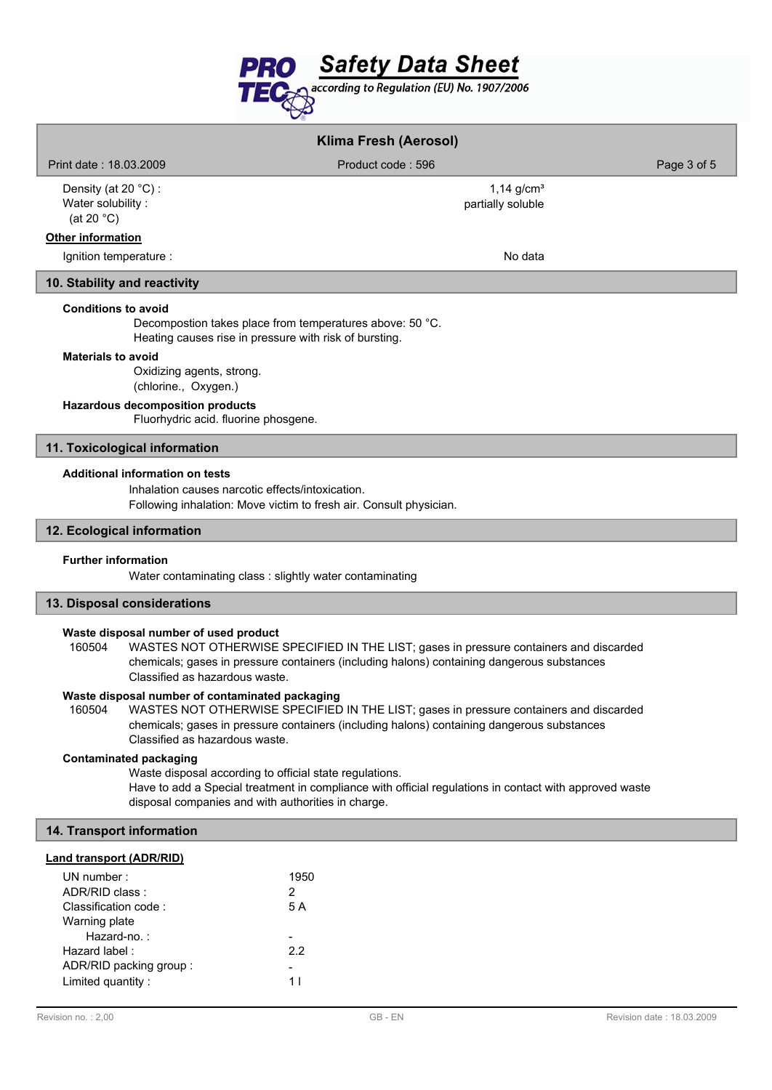

| <b>Klima Fresh (Aerosol)</b>                                                                                                                     |                                   |             |  |  |
|--------------------------------------------------------------------------------------------------------------------------------------------------|-----------------------------------|-------------|--|--|
| Print date: 18.03.2009                                                                                                                           | Product code: 596                 | Page 3 of 5 |  |  |
| Density (at 20 $°C$ ) :<br>Water solubility:<br>(at 20 $°C$ )                                                                                    | 1,14 $g/cm3$<br>partially soluble |             |  |  |
| <b>Other information</b>                                                                                                                         |                                   |             |  |  |
| Ignition temperature :                                                                                                                           | No data                           |             |  |  |
| 10. Stability and reactivity                                                                                                                     |                                   |             |  |  |
| <b>Conditions to avoid</b><br>Decompostion takes place from temperatures above: 50 °C.<br>Heating causes rise in pressure with risk of bursting. |                                   |             |  |  |
| <b>Materials to avoid</b><br>Oxidizing agents, strong.<br>(chlorine., Oxygen.)                                                                   |                                   |             |  |  |

# **Hazardous decomposition products**

Fluorhydric acid. fluorine phosgene.

## **11. Toxicological information**

## **Additional information on tests**

Inhalation causes narcotic effects/intoxication.

Following inhalation: Move victim to fresh air. Consult physician.

### **12. Ecological information**

## **Further information**

Water contaminating class : slightly water contaminating

## **13. Disposal considerations**

### **Waste disposal number of used product**

WASTES NOT OTHERWISE SPECIFIED IN THE LIST; gases in pressure containers and discarded chemicals; gases in pressure containers (including halons) containing dangerous substances Classified as hazardous waste. 160504

## **Waste disposal number of contaminated packaging**

WASTES NOT OTHERWISE SPECIFIED IN THE LIST; gases in pressure containers and discarded chemicals; gases in pressure containers (including halons) containing dangerous substances Classified as hazardous waste. 160504

## **Contaminated packaging**

Waste disposal according to official state regulations. Have to add a Special treatment in compliance with official regulations in contact with approved waste disposal companies and with authorities in charge.

## **14. Transport information**

## **Land transport (ADR/RID)**

| UN number:<br>ADR/RID class:<br>Classification code: | 1950<br>2<br>5 A |
|------------------------------------------------------|------------------|
| Warning plate<br>Hazard-no.:                         |                  |
| Hazard label:                                        | 22               |
| ADR/RID packing group:                               |                  |
| Limited quantity:                                    |                  |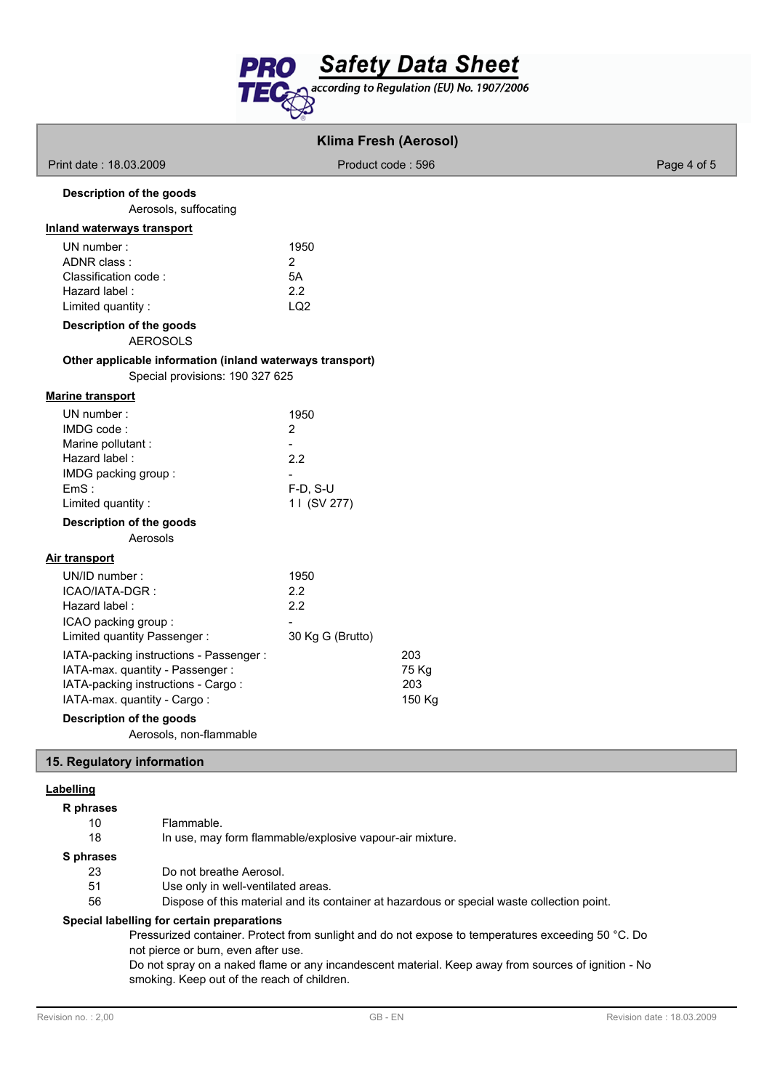

|                                                                                                                                                 | <b>Klima Fresh (Aerosol)</b>                                                 |             |
|-------------------------------------------------------------------------------------------------------------------------------------------------|------------------------------------------------------------------------------|-------------|
| Print date: 18.03.2009                                                                                                                          | Product code: 596                                                            | Page 4 of 5 |
| Description of the goods<br>Aerosols, suffocating                                                                                               |                                                                              |             |
| <b>Inland waterways transport</b>                                                                                                               |                                                                              |             |
| UN number:<br>ADNR class:<br>Classification code:<br>Hazard label:<br>Limited quantity:<br>Description of the goods                             | 1950<br>$\overline{2}$<br>5A<br>2.2<br>LQ <sub>2</sub>                       |             |
| <b>AEROSOLS</b>                                                                                                                                 |                                                                              |             |
| Other applicable information (inland waterways transport)<br>Special provisions: 190 327 625                                                    |                                                                              |             |
| <b>Marine transport</b>                                                                                                                         |                                                                              |             |
| UN number:<br>IMDG code:<br>Marine pollutant:<br>Hazard label:<br>IMDG packing group:<br>EmS:<br>Limited quantity:                              | 1950<br>$\overline{2}$<br>$\blacksquare$<br>2.2<br>$F-D, S-U$<br>11 (SV 277) |             |
| Description of the goods<br>Aerosols                                                                                                            |                                                                              |             |
| <b>Air transport</b>                                                                                                                            |                                                                              |             |
| UN/ID number:<br>ICAO/IATA-DGR :<br>Hazard label:<br>ICAO packing group:<br>Limited quantity Passenger:                                         | 1950<br>2.2<br>2.2<br>30 Kg G (Brutto)                                       |             |
| IATA-packing instructions - Passenger :<br>IATA-max. quantity - Passenger:<br>IATA-packing instructions - Cargo:<br>IATA-max. quantity - Cargo: | 203<br>75 Kg<br>203<br>150 Kg                                                |             |
| Description of the goods<br>Aerosols, non-flammable                                                                                             |                                                                              |             |
| 15. Regulatory information                                                                                                                      |                                                                              |             |
|                                                                                                                                                 |                                                                              |             |
| Labelling<br>R phrases<br>10<br>Flammable.<br>18                                                                                                | In use, may form flammable/explosive vapour-air mixture.                     |             |

**S phrases**

23 Do not breathe Aerosol.

51 Use only in well-ventilated areas.

56 Dispose of this material and its container at hazardous or special waste collection point.

## **Special labelling for certain preparations**

Pressurized container. Protect from sunlight and do not expose to temperatures exceeding 50 °C. Do not pierce or burn, even after use.

Do not spray on a naked flame or any incandescent material. Keep away from sources of ignition - No smoking. Keep out of the reach of children.